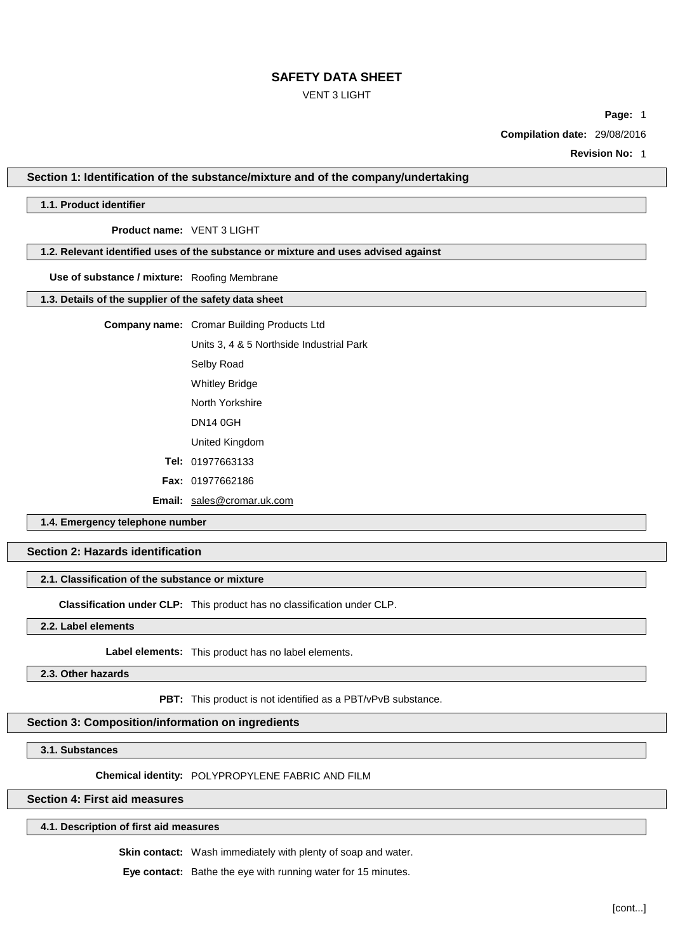#### VENT 3 LIGHT

**Page:** 1

**Compilation date:** 29/08/2016

**Revision No:** 1

**Section 1: Identification of the substance/mixture and of the company/undertaking**

### **1.1. Product identifier**

#### **Product name:** VENT 3 LIGHT

## **1.2. Relevant identified uses of the substance or mixture and uses advised against**

#### **Use of substance / mixture:** Roofing Membrane

#### **1.3. Details of the supplier of the safety data sheet**

## **Company name:** Cromar Building Products Ltd

Units 3, 4 & 5 Northside Industrial Park

Selby Road

Whitley Bridge

North Yorkshire

DN14 0GH

United Kingdom

**Tel:** 01977663133

**Fax:** 01977662186

**Email:** [sales@cromar.uk.com](mailto:sales@cromar.uk.com)

**1.4. Emergency telephone number**

## **Section 2: Hazards identification**

### **2.1. Classification of the substance or mixture**

**Classification under CLP:** This product has no classification under CLP.

**2.2. Label elements**

**Label elements:** This product has no label elements.

**2.3. Other hazards**

**PBT:** This product is not identified as a PBT/vPvB substance.

### **Section 3: Composition/information on ingredients**

**3.1. Substances**

**Chemical identity:** POLYPROPYLENE FABRIC AND FILM

## **Section 4: First aid measures**

#### **4.1. Description of first aid measures**

**Skin contact:** Wash immediately with plenty of soap and water.

**Eye contact:** Bathe the eye with running water for 15 minutes.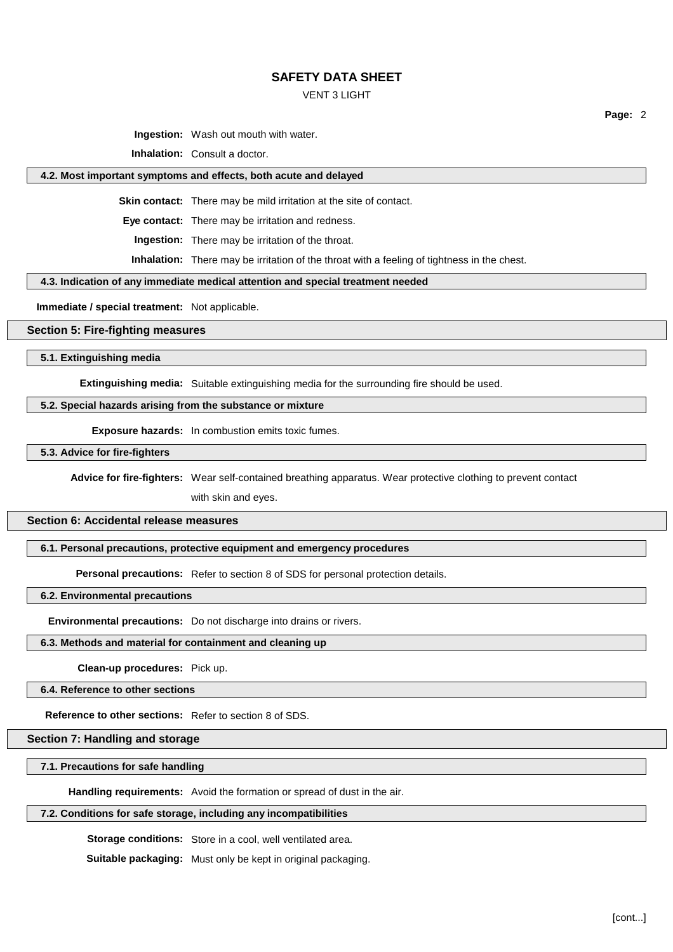#### VENT 3 LIGHT

**Ingestion:** Wash out mouth with water.

**Inhalation:** Consult a doctor.

#### **4.2. Most important symptoms and effects, both acute and delayed**

**Skin contact:** There may be mild irritation at the site of contact.

**Eye contact:** There may be irritation and redness.

**Ingestion:** There may be irritation of the throat.

**Inhalation:** There may be irritation of the throat with a feeling of tightness in the chest.

#### **4.3. Indication of any immediate medical attention and special treatment needed**

**Immediate / special treatment:** Not applicable.

#### **Section 5: Fire-fighting measures**

#### **5.1. Extinguishing media**

**Extinguishing media:** Suitable extinguishing media for the surrounding fire should be used.

#### **5.2. Special hazards arising from the substance or mixture**

**Exposure hazards:** In combustion emits toxic fumes.

**5.3. Advice for fire-fighters**

**Advice for fire-fighters:** Wear self-contained breathing apparatus. Wear protective clothing to prevent contact

with skin and eyes.

#### **Section 6: Accidental release measures**

### **6.1. Personal precautions, protective equipment and emergency procedures**

**Personal precautions:** Refer to section 8 of SDS for personal protection details.

### **6.2. Environmental precautions**

**Environmental precautions:** Do not discharge into drains or rivers.

### **6.3. Methods and material for containment and cleaning up**

**Clean-up procedures:** Pick up.

## **6.4. Reference to other sections**

# **Reference to other sections:** Refer to section 8 of SDS.

## **Section 7: Handling and storage**

### **7.1. Precautions for safe handling**

**Handling requirements:** Avoid the formation or spread of dust in the air.

## **7.2. Conditions for safe storage, including any incompatibilities**

**Storage conditions:** Store in a cool, well ventilated area.

**Suitable packaging:** Must only be kept in original packaging.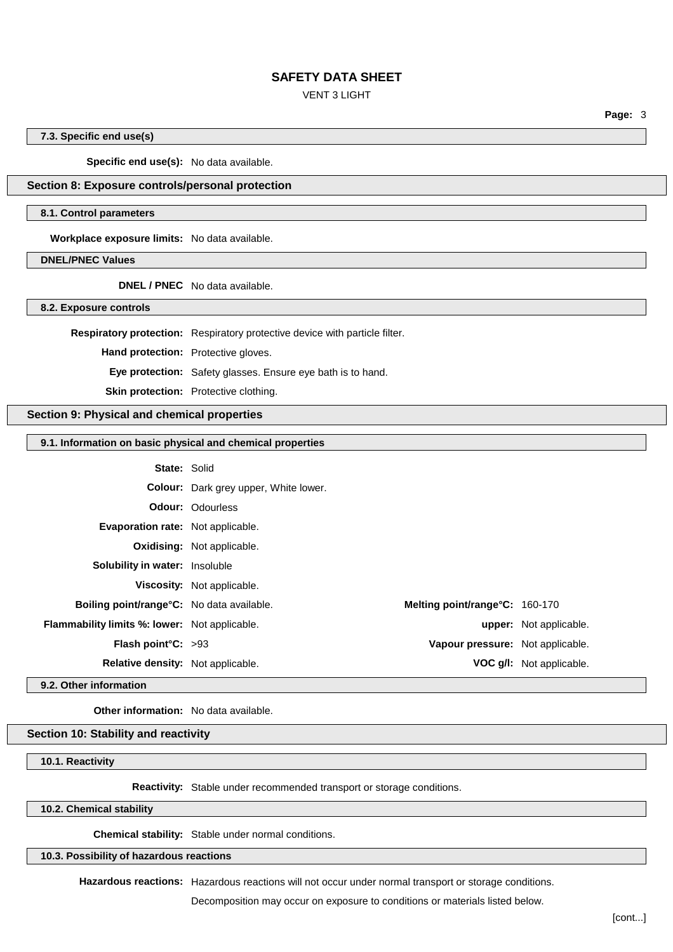### VENT 3 LIGHT

**7.3. Specific end use(s)**

**Specific end use(s):** No data available.

### **Section 8: Exposure controls/personal protection**

#### **8.1. Control parameters**

**Workplace exposure limits:** No data available.

**DNEL/PNEC Values**

**DNEL / PNEC** No data available.

**8.2. Exposure controls**

**Respiratory protection:** Respiratory protective device with particle filter.

**Hand protection:** Protective gloves.

**Eye protection:** Safety glasses. Ensure eye bath is to hand.

**Skin protection:** Protective clothing.

**Section 9: Physical and chemical properties**

### **9.1. Information on basic physical and chemical properties**

### **State:** Solid

**Colour:** Dark grey upper, White lower.

**Odour:** Odourless

**Evaporation rate:** Not applicable.

**Oxidising:** Not applicable.

**Solubility in water:** Insoluble **Viscosity:** Not applicable.

**Boiling point/range°C:** No data available. **Melting point/range°C:** 160-170 **Flammability limits %: lower:** Not applicable. **upper:** Not applicable.

**Flash point°C:** >93 **Vapour pressure:** Not applicable. **Relative density:** Not applicable. **VOC g/l:** Not applicable.

**9.2. Other information**

**Other information:** No data available.

#### **Section 10: Stability and reactivity**

### **10.1. Reactivity**

**Reactivity:** Stable under recommended transport or storage conditions.

**10.2. Chemical stability**

**Chemical stability:** Stable under normal conditions.

#### **10.3. Possibility of hazardous reactions**

**Hazardous reactions:** Hazardous reactions will not occur under normal transport or storage conditions.

Decomposition may occur on exposure to conditions or materials listed below.

**Page:** 3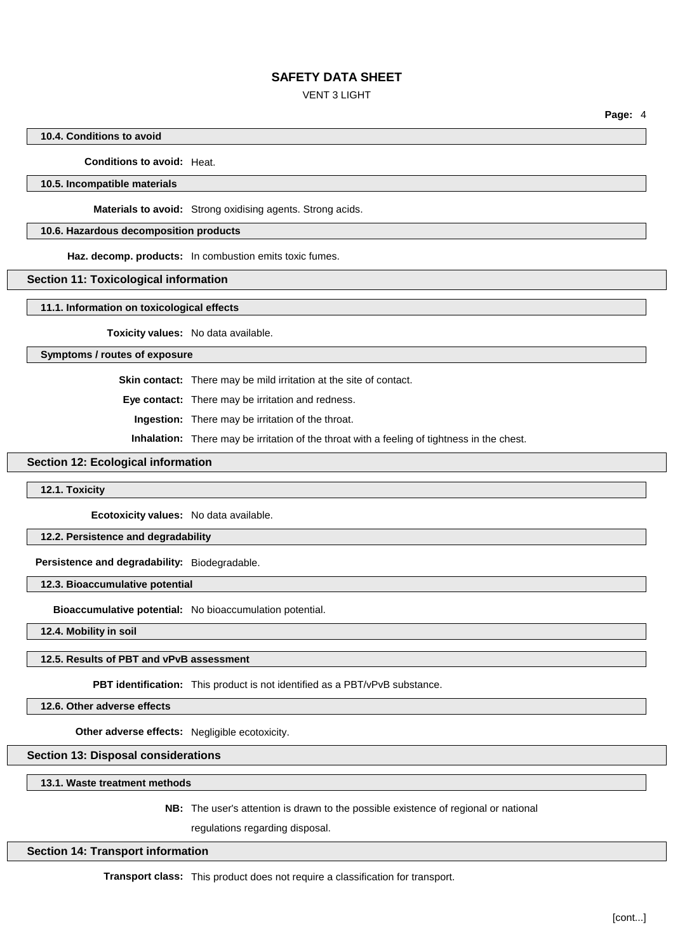### VENT 3 LIGHT

**Page:** 4

### **10.4. Conditions to avoid**

#### **Conditions to avoid:** Heat.

#### **10.5. Incompatible materials**

**Materials to avoid:** Strong oxidising agents. Strong acids.

#### **10.6. Hazardous decomposition products**

**Haz. decomp. products:** In combustion emits toxic fumes.

#### **Section 11: Toxicological information**

#### **11.1. Information on toxicological effects**

**Toxicity values:** No data available.

#### **Symptoms / routes of exposure**

**Skin contact:** There may be mild irritation at the site of contact.

**Eye contact:** There may be irritation and redness.

**Ingestion:** There may be irritation of the throat.

**Inhalation:** There may be irritation of the throat with a feeling of tightness in the chest.

### **Section 12: Ecological information**

#### **12.1. Toxicity**

**Ecotoxicity values:** No data available.

### **12.2. Persistence and degradability**

**Persistence and degradability:** Biodegradable.

#### **12.3. Bioaccumulative potential**

**Bioaccumulative potential:** No bioaccumulation potential.

**12.4. Mobility in soil**

#### **12.5. Results of PBT and vPvB assessment**

**PBT identification:** This product is not identified as a PBT/vPvB substance.

**12.6. Other adverse effects**

**Other adverse effects:** Negligible ecotoxicity.

### **Section 13: Disposal considerations**

**13.1. Waste treatment methods**

**NB:** The user's attention is drawn to the possible existence of regional or national

regulations regarding disposal.

#### **Section 14: Transport information**

**Transport class:** This product does not require a classification for transport.